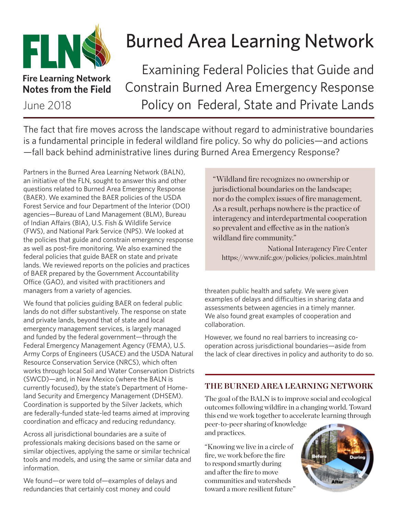

# Burned Area Learning Network

**Fire Learning Network Notes from the Field**

Examining Federal Policies that Guide and Constrain Burned Area Emergency Response June 2018 Policy on Federal, State and Private Lands

The fact that fire moves across the landscape without regard to administrative boundaries is a fundamental principle in federal wildland fire policy. So why do policies—and actions —fall back behind administrative lines during Burned Area Emergency Response?

Partners in the Burned Area Learning Network (BALN), an initiative of the FLN, sought to answer this and other questions related to Burned Area Emergency Response (BAER). We examined the BAER policies of the USDA Forest Service and four Department of the Interior (DOI) agencies—Bureau of Land Management (BLM), Bureau of Indian Affairs (BIA), U.S. Fish & Wildlife Service (FWS), and National Park Service (NPS). We looked at the policies that guide and constrain emergency response as well as post-fire monitoring. We also examined the federal policies that guide BAER on state and private lands. We reviewed reports on the policies and practices of BAER prepared by the Government Accountability Office (GAO), and visited with practitioners and managers from a variety of agencies.

We found that policies guiding BAER on federal public lands do not differ substantively. The response on state and private lands, beyond that of state and local emergency management services, is largely managed and funded by the federal government—through the Federal Emergency Management Agency (FEMA), U.S. Army Corps of Engineers (USACE) and the USDA Natural Resource Conservation Service (NRCS), which often works through local Soil and Water Conservation Districts (SWCD)—and, in New Mexico (where the BALN is currently focused), by the state's Department of Homeland Security and Emergency Management (DHSEM). Coordination is supported by the Silver Jackets, which are federally-funded state-led teams aimed at improving coordination and efficacy and reducing redundancy.

Across all jurisdictional boundaries are a suite of professionals making decisions based on the same or similar objectives, applying the same or similar technical tools and models, and using the same or similar data and information.

We found—or were told of—examples of delays and redundancies that certainly cost money and could

"Wildland fire recognizes no ownership or jurisdictional boundaries on the landscape; nor do the complex issues of fire management. As a result, perhaps nowhere is the practice of interagency and interdepartmental cooperation so prevalent and effective as in the nation's wildland fire community."

National Interagency Fire Center https://www.nifc.gov/policies/policies\_main.html

threaten public health and safety. We were given examples of delays and difficulties in sharing data and assessments between agencies in a timely manner. We also found great examples of cooperation and collaboration.

However, we found no real barriers to increasing cooperation across jurisdictional boundaries—aside from the lack of clear directives in policy and authority to do so.

## **THE BURNED AREA LEARNING NETWORK**

The goal of the BALN is to improve social and ecological outcomes following wildfire in a changing world. Toward this end we work together to accelerate learning through

peer-to-peer sharing of knowledge and practices.

"Knowing we live in a circle of fire, we work before the fire to respond smartly during and after the fire to move communities and watersheds toward a more resilient future"

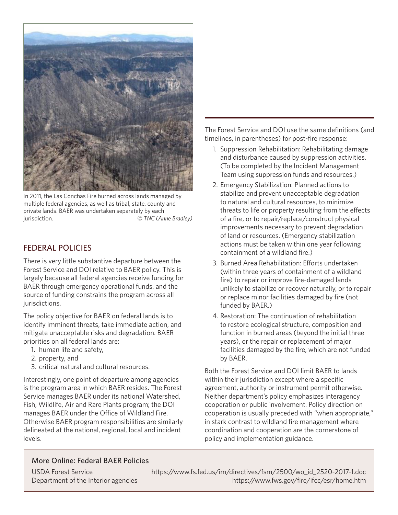

In 2011, the Las Conchas Fire burned across lands managed by multiple federal agencies, as well as tribal, state, county and private lands. BAER was undertaken separately by each jurisdiction. *© TNC (Anne Bradley)*

## FEDERAL POLICIES

There is very little substantive departure between the Forest Service and DOI relative to BAER policy. This is largely because all federal agencies receive funding for BAER through emergency operational funds, and the source of funding constrains the program across all jurisdictions.

The policy objective for BAER on federal lands is to identify imminent threats, take immediate action, and mitigate unacceptable risks and degradation. BAER priorities on all federal lands are:

- 1. human life and safety,
- 2. property, and
- 3. critical natural and cultural resources.

Interestingly, one point of departure among agencies is the program area in which BAER resides. The Forest Service manages BAER under its national Watershed, Fish, Wildlife, Air and Rare Plants program; the DOI manages BAER under the Office of Wildland Fire. Otherwise BAER program responsibilities are similarly delineated at the national, regional, local and incident levels.

The Forest Service and DOI use the same definitions (and timelines, in parentheses) for post-fire response:

- 1. Suppression Rehabilitation: Rehabilitating damage and disturbance caused by suppression activities. (To be completed by the Incident Management Team using suppression funds and resources.)
- 2. Emergency Stabilization: Planned actions to stabilize and prevent unacceptable degradation to natural and cultural resources, to minimize threats to life or property resulting from the effects of a fire, or to repair/replace/construct physical improvements necessary to prevent degradation of land or resources. (Emergency stabilization actions must be taken within one year following containment of a wildland fire.)
- 3. Burned Area Rehabilitation: Efforts undertaken (within three years of containment of a wildland fire) to repair or improve fire-damaged lands unlikely to stabilize or recover naturally, or to repair or replace minor facilities damaged by fire (not funded by BAER.)
- 4. Restoration: The continuation of rehabilitation to restore ecological structure, composition and function in burned areas (beyond the initial three years), or the repair or replacement of major facilities damaged by the fire, which are not funded by BAER.

Both the Forest Service and DOI limit BAER to lands within their jurisdiction except where a specific agreement, authority or instrument permit otherwise. Neither department's policy emphasizes interagency cooperation or public involvement. Policy direction on cooperation is usually preceded with "when appropriate," in stark contrast to wildland fire management where coordination and cooperation are the cornerstone of policy and implementation guidance.

### More Online: Federal BAER Policies

USDA Forest Service https://www.fs.fed.us/im/directives/fsm/2500/wo\_id\_2520-2017-1.doc Department of the Interior agencies https://www.fws.gov/fire/ifcc/esr/home.htm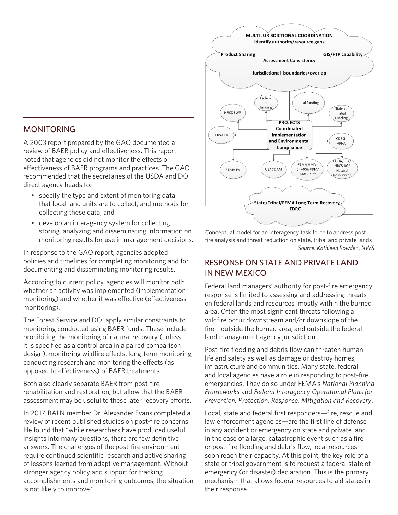#### MONITORING

A 2003 report prepared by the GAO documented a review of BAER policy and effectiveness. This report noted that agencies did not monitor the effects or effectiveness of BAER programs and practices. The GAO recommended that the secretaries of the USDA and DOI direct agency heads to:

- specify the type and extent of monitoring data that local land units are to collect, and methods for collecting these data; and
- develop an interagency system for collecting, storing, analyzing and disseminating information on monitoring results for use in management decisions.

In response to the GAO report, agencies adopted policies and timelines for completing monitoring and for documenting and disseminating monitoring results.

According to current policy, agencies will monitor both whether an activity was implemented (implementation monitoring) and whether it was effective (effectiveness monitoring).

The Forest Service and DOI apply similar constraints to monitoring conducted using BAER funds. These include prohibiting the monitoring of natural recovery (unless it is specified as a control area in a paired comparison design), monitoring wildfire effects, long-term monitoring, conducting research and monitoring the effects (as opposed to effectiveness) of BAER treatments.

Both also clearly separate BAER from post-fire rehabilitation and restoration, but allow that the BAER assessment may be useful to these later recovery efforts.

In 2017, BALN member Dr. Alexander Evans completed a review of recent published studies on post-fire concerns. He found that "while researchers have produced useful insights into many questions, there are few definitive answers. The challenges of the post-fire environment require continued scientific research and active sharing of lessons learned from adaptive management. Without stronger agency policy and support for tracking accomplishments and monitoring outcomes, the situation is not likely to improve."



Conceptual model for an interagency task force to address post fire analysis and threat reduction on state, tribal and private lands *Source: Kathleen Rowden, NWS* 

#### RESPONSE ON STATE AND PRIVATE LAND IN NEW MEXICO

Federal land managers' authority for post-fire emergency response is limited to assessing and addressing threats on federal lands and resources, mostly within the burned area. Often the most significant threats following a wildfire occur downstream and/or downslope of the fire—outside the burned area, and outside the federal land management agency jurisdiction.

Post-fire flooding and debris flow can threaten human life and safety as well as damage or destroy homes, infrastructure and communities. Many state, federal and local agencies have a role in responding to post-fire emergencies. They do so under FEMA's *National Planning Frameworks* and *Federal Interagency Operational Plans for Prevention, Protection, Response, Mitigation and Recovery*.

Local, state and federal first responders—fire, rescue and law enforcement agencies—are the first line of defense in any accident or emergency on state and private land. In the case of a large, catastrophic event such as a fire or post-fire flooding and debris flow, local resources soon reach their capacity. At this point, the key role of a state or tribal government is to request a federal state of emergency (or disaster) declaration. This is the primary mechanism that allows federal resources to aid states in their response.